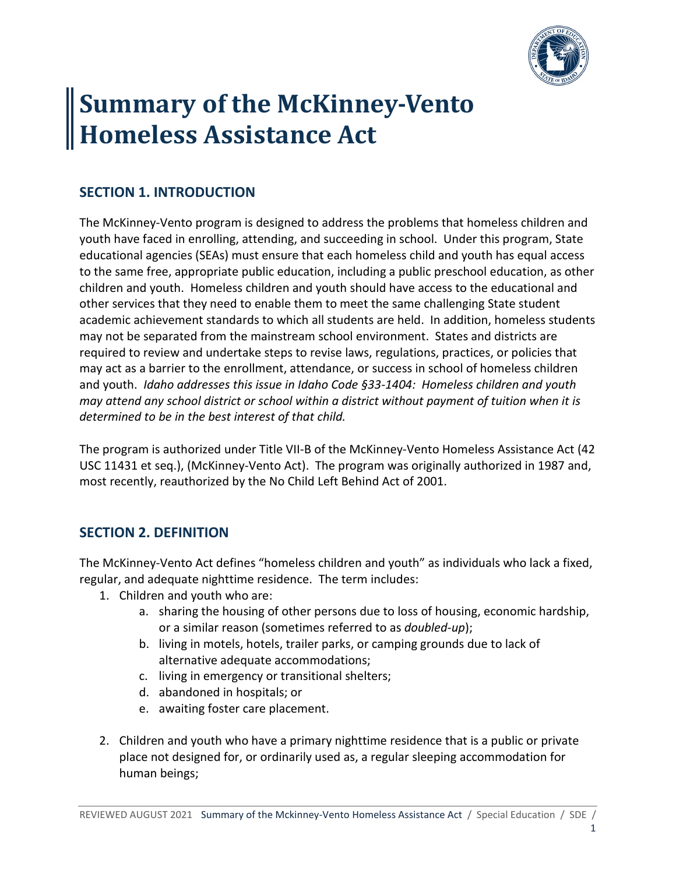

# **Summary of the McKinney-Vento Homeless Assistance Act**

### **SECTION 1. INTRODUCTION**

The McKinney-Vento program is designed to address the problems that homeless children and youth have faced in enrolling, attending, and succeeding in school. Under this program, State educational agencies (SEAs) must ensure that each homeless child and youth has equal access to the same free, appropriate public education, including a public preschool education, as other children and youth. Homeless children and youth should have access to the educational and other services that they need to enable them to meet the same challenging State student academic achievement standards to which all students are held. In addition, homeless students may not be separated from the mainstream school environment. States and districts are required to review and undertake steps to revise laws, regulations, practices, or policies that may act as a barrier to the enrollment, attendance, or success in school of homeless children and youth. *Idaho addresses this issue in Idaho Code §33-1404: Homeless children and youth may attend any school district or school within a district without payment of tuition when it is determined to be in the best interest of that child.* 

The program is authorized under Title VII-B of the McKinney-Vento Homeless Assistance Act (42 USC 11431 et seq.), (McKinney-Vento Act). The program was originally authorized in 1987 and, most recently, reauthorized by the No Child Left Behind Act of 2001.

#### **SECTION 2. DEFINITION**

The McKinney-Vento Act defines "homeless children and youth" as individuals who lack a fixed, regular, and adequate nighttime residence. The term includes:

- 1. Children and youth who are:
	- a. sharing the housing of other persons due to loss of housing, economic hardship, or a similar reason (sometimes referred to as *doubled-up*);
	- b. living in motels, hotels, trailer parks, or camping grounds due to lack of alternative adequate accommodations;
	- c. living in emergency or transitional shelters;
	- d. abandoned in hospitals; or
	- e. awaiting foster care placement.
- 2. Children and youth who have a primary nighttime residence that is a public or private place not designed for, or ordinarily used as, a regular sleeping accommodation for human beings;

1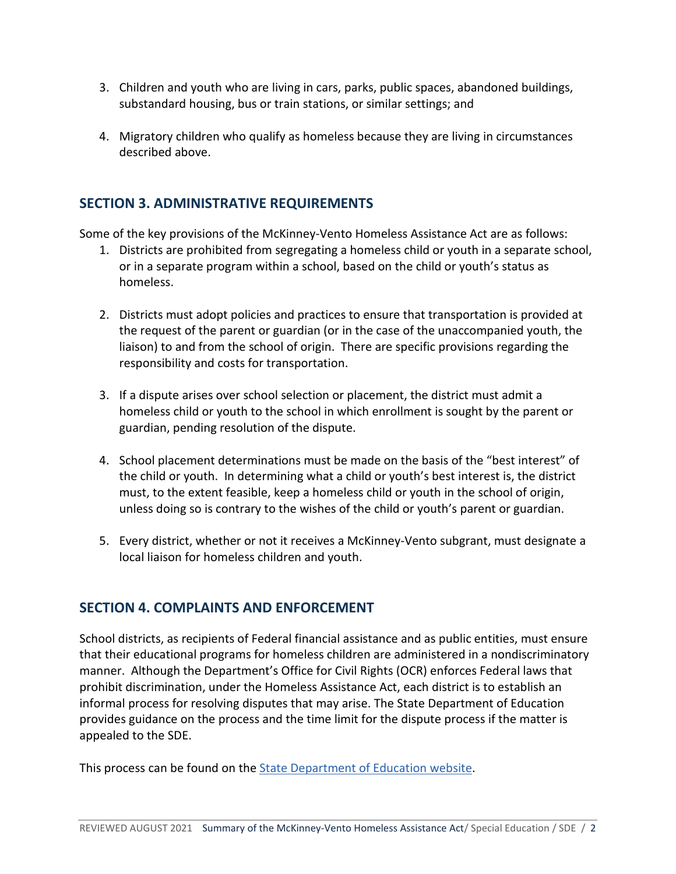- 3. Children and youth who are living in cars, parks, public spaces, abandoned buildings, substandard housing, bus or train stations, or similar settings; and
- 4. Migratory children who qualify as homeless because they are living in circumstances described above.

#### **SECTION 3. ADMINISTRATIVE REQUIREMENTS**

Some of the key provisions of the McKinney-Vento Homeless Assistance Act are as follows:

- 1. Districts are prohibited from segregating a homeless child or youth in a separate school, or in a separate program within a school, based on the child or youth's status as homeless.
- 2. Districts must adopt policies and practices to ensure that transportation is provided at the request of the parent or guardian (or in the case of the unaccompanied youth, the liaison) to and from the school of origin. There are specific provisions regarding the responsibility and costs for transportation.
- 3. If a dispute arises over school selection or placement, the district must admit a homeless child or youth to the school in which enrollment is sought by the parent or guardian, pending resolution of the dispute.
- 4. School placement determinations must be made on the basis of the "best interest" of the child or youth. In determining what a child or youth's best interest is, the district must, to the extent feasible, keep a homeless child or youth in the school of origin, unless doing so is contrary to the wishes of the child or youth's parent or guardian.
- 5. Every district, whether or not it receives a McKinney-Vento subgrant, must designate a local liaison for homeless children and youth.

## **SECTION 4. COMPLAINTS AND ENFORCEMENT**

School districts, as recipients of Federal financial assistance and as public entities, must ensure that their educational programs for homeless children are administered in a nondiscriminatory manner. Although the Department's Office for Civil Rights (OCR) enforces Federal laws that prohibit discrimination, under the Homeless Assistance Act, each district is to establish an informal process for resolving disputes that may arise. The State Department of Education provides guidance on the process and the time limit for the dispute process if the matter is appealed to the SDE.

This process can be found on the **State Department of Education** website.